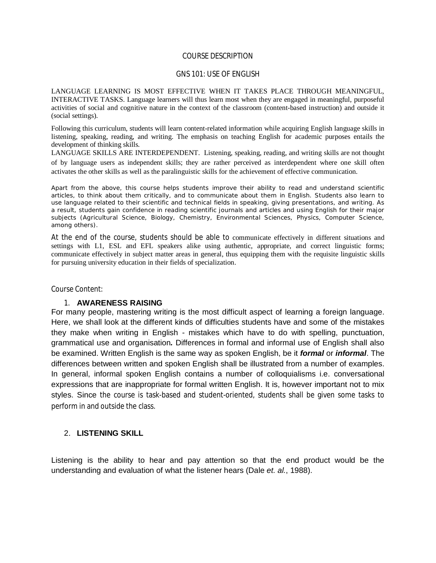#### COURSE DESCRIPTION

### GNS 101: USE OF ENGLISH

LANGUAGE LEARNING IS MOST EFFECTIVE WHEN IT TAKES PLACE THROUGH MEANINGFUL, INTERACTIVE TASKS. Language learners will thus learn most when they are engaged in meaningful, purposeful activities of social and cognitive nature in the context of the classroom (content-based instruction) and outside it (social settings).

Following this curriculum, students will learn content-related information while acquiring English language skills in listening, speaking, reading, and writing. The emphasis on teaching English for academic purposes entails the development of thinking skills.

LANGUAGE SKILLS ARE INTERDEPENDENT. Listening, speaking, reading, and writing skills are not thought of by language users as independent skills; they are rather perceived as interdependent where one skill often activates the other skills as well as the paralinguistic skills for the achievement of effective communication.

Apart from the above, this course helps students improve their ability to read and understand scientific articles, to think about them critically, and to communicate about them in English. Students also learn to use language related to their scientific and technical fields in speaking, giving presentations, and writing. As a result, students gain confidence in reading scientific journals and articles and using English for their major subjects (Agricultural Science, Biology, Chemistry, Environmental Sciences, Physics, Computer Science, among others).

At the end of the course, students should be able to communicate effectively in different situations and settings with L1, ESL and EFL speakers alike using authentic, appropriate, and correct linguistic forms; communicate effectively in subject matter areas in general, thus equipping them with the requisite linguistic skills for pursuing university education in their fields of specialization.

Course Content:

#### 1. **AWARENESS RAISING**

For many people, mastering writing is the most difficult aspect of learning a foreign language. Here, we shall look at the different kinds of difficulties students have and some of the mistakes they make when writing in English - mistakes which have to do with spelling, punctuation, grammatical use and organisation*.* Differences in formal and informal use of English shall also be examined. Written English is the same way as spoken English, be it *formal* or *informal*. The differences between written and spoken English shall be illustrated from a number of examples. In general, informal spoken English contains a number of colloquialisms i.e. conversational expressions that are inappropriate for formal written English. It is, however important not to mix styles. Since the course is task-based and student-oriented, students shall be given some tasks to perform in and outside the class.

### 2. **LISTENING SKILL**

Listening is the ability to hear and pay attention so that the end product would be the understanding and evaluation of what the listener hears (Dale *et. al.*, 1988).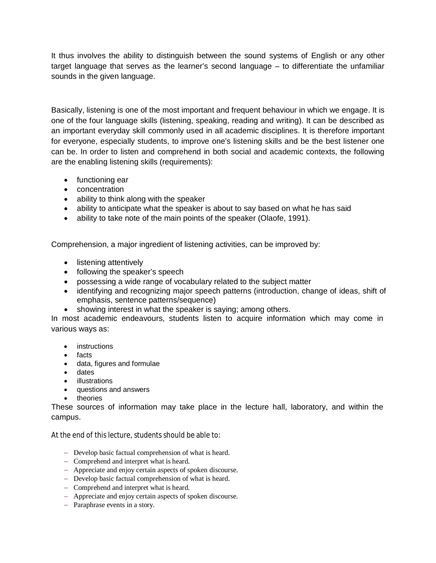It thus involves the ability to distinguish between the sound systems of English or any other target language that serves as the learner's second language – to differentiate the unfamiliar sounds in the given language.

Basically, listening is one of the most important and frequent behaviour in which we engage. It is one of the four language skills (listening, speaking, reading and writing). It can be described as an important everyday skill commonly used in all academic disciplines. It is therefore important for everyone, especially students, to improve one's listening skills and be the best listener one can be. In order to listen and comprehend in both social and academic contexts, the following are the enabling listening skills (requirements):

- functioning ear
- concentration
- ability to think along with the speaker
- ability to anticipate what the speaker is about to say based on what he has said
- ability to take note of the main points of the speaker (Olaofe, 1991).

Comprehension, a major ingredient of listening activities, can be improved by:

- listening attentively
- following the speaker's speech
- possessing a wide range of vocabulary related to the subject matter
- identifying and recognizing major speech patterns (introduction, change of ideas, shift of emphasis, sentence patterns/sequence)
- showing interest in what the speaker is saying; among others.

In most academic endeavours, students listen to acquire information which may come in various ways as:

- **•** instructions
- facts
- data, figures and formulae
- dates
- **•** illustrations
- questions and answers
- theories

These sources of information may take place in the lecture hall, laboratory, and within the campus.

At the end of this lecture, students should be able to:

- Develop basic factual comprehension of what is heard.
- Comprehend and interpret what is heard.
- Appreciate and enjoy certain aspects of spoken discourse.
- Develop basic factual comprehension of what is heard.
- Comprehend and interpret what is heard.
- Appreciate and enjoy certain aspects of spoken discourse.
- Paraphrase events in a story.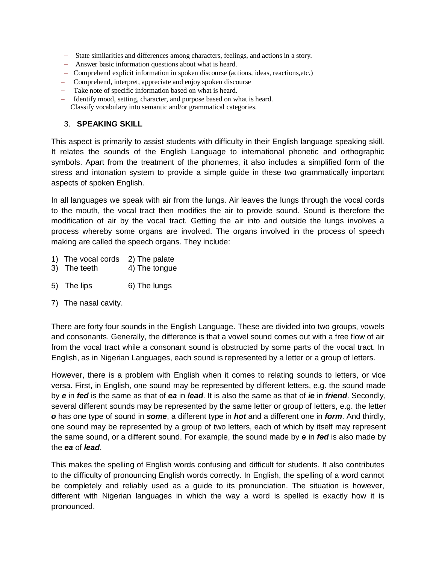- State similarities and differences among characters, feelings, and actions in a story.
- Answer basic information questions about what is heard.
- Comprehend explicit information in spoken discourse (actions, ideas, reactions,etc.)
- Comprehend, interpret, appreciate and enjoy spoken discourse
- Take note of specific information based on what is heard.
- Identify mood, setting, character, and purpose based on what is heard. Classify vocabulary into semantic and/or grammatical categories.

### 3. **SPEAKING SKILL**

This aspect is primarily to assist students with difficulty in their English language speaking skill. It relates the sounds of the English Language to international phonetic and orthographic symbols. Apart from the treatment of the phonemes, it also includes a simplified form of the stress and intonation system to provide a simple guide in these two grammatically important aspects of spoken English.

In all languages we speak with air from the lungs. Air leaves the lungs through the vocal cords to the mouth, the vocal tract then modifies the air to provide sound. Sound is therefore the modification of air by the vocal tract. Getting the air into and outside the lungs involves a process whereby some organs are involved. The organs involved in the process of speech making are called the speech organs. They include:

- 1) The vocal cords 2) The palate
- 3) The teeth 4) The tongue
- 5) The lips 6) The lungs
- 7) The nasal cavity.

There are forty four sounds in the English Language. These are divided into two groups, vowels and consonants. Generally, the difference is that a vowel sound comes out with a free flow of air from the vocal tract while a consonant sound is obstructed by some parts of the vocal tract. In English, as in Nigerian Languages, each sound is represented by a letter or a group of letters.

However, there is a problem with English when it comes to relating sounds to letters, or vice versa. First, in English, one sound may be represented by different letters, e.g. the sound made by *e* in *fed* is the same as that of *ea* in *lead*. It is also the same as that of *ie* in *friend*. Secondly, several different sounds may be represented by the same letter or group of letters, e.g. the letter *o* has one type of sound in *some*, a different type in *hot* and a different one in *form*. And thirdly, one sound may be represented by a group of two letters, each of which by itself may represent the same sound, or a different sound. For example, the sound made by *e* in *fed* is also made by the *ea* of *lead*.

This makes the spelling of English words confusing and difficult for students. It also contributes to the difficulty of pronouncing English words correctly. In English, the spelling of a word cannot be completely and reliably used as a guide to its pronunciation. The situation is however, different with Nigerian languages in which the way a word is spelled is exactly how it is pronounced.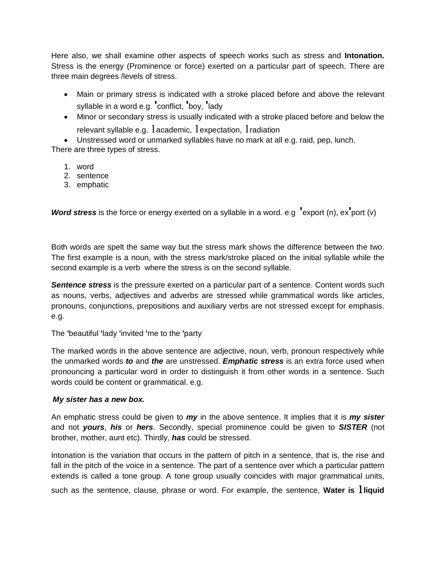Here also, we shall examine other aspects of speech works such as stress and **Intonation.**  Stress is the energy (Prominence or force) exerted on a particular part of speech. There are three main degrees /levels of stress.

- Main or primary stress is indicated with a stroke placed before and above the relevant syllable in a word e.g. **'**conflict, **'**boy, **'**lady
- Minor or secondary stress is usually indicated with a stroke placed before and below the relevant syllable e.g.  $1$  academic,  $1$  expectation,  $1$  radiation

 Unstressed word or unmarked syllables have no mark at all e.g. raid, pep, lunch. There are three types of stress.

1. word

- 2. sentence
- 3. emphatic

*Word stress* is the force or energy exerted on a syllable in a word. e.g **'**export (n), ex**'**port (v)

Both words are spelt the same way but the stress mark shows the difference between the two. The first example is a noun, with the stress mark/stroke placed on the initial syllable while the second example is a verb where the stress is on the second syllable.

*Sentence stress* is the pressure exerted on a particular part of a sentence. Content words such as nouns, verbs, adjectives and adverbs are stressed while grammatical words like articles, pronouns, conjunctions, prepositions and auxiliary verbs are not stressed except for emphasis. e.g.

The **'**beautiful **'**lady **'**invited **'**me to the **'**party

The marked words in the above sentence are adjective, noun, verb, pronoun respectively while the unmarked words *to* and *the* are unstressed. *Emphatic stress* is an extra force used when pronouncing a particular word in order to distinguish it from other words in a sentence. Such words could be content or grammatical. e.g.

# *My sister has a new box.*

An emphatic stress could be given to *my* in the above sentence. It implies that it is *my sister* and not *yours*, *his* or *hers*. Secondly, special prominence could be given to *SISTER* (not brother, mother, aunt etc). Thirdly, *has* could be stressed.

Intonation is the variation that occurs in the pattern of pitch in a sentence, that is, the rise and fall in the pitch of the voice in a sentence. The part of a sentence over which a particular pattern extends is called a tone group. A tone group usually coincides with major grammatical units,

such as the sentence, clause, phrase or word. For example, the sentence, **Water is liquid**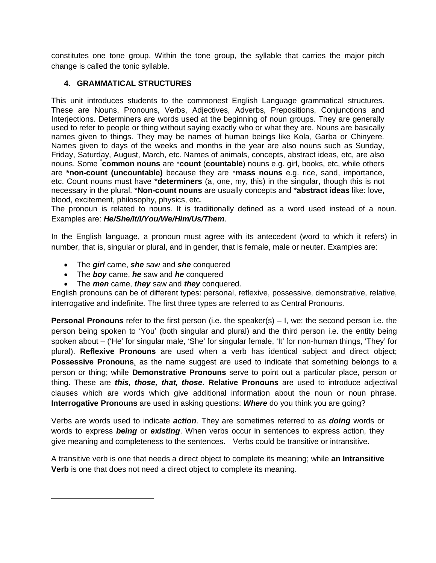constitutes one tone group. Within the tone group, the syllable that carries the major pitch change is called the tonic syllable.

# **4. GRAMMATICAL STRUCTURES**

This unit introduces students to the commonest English Language grammatical structures. These are Nouns, Pronouns, Verbs, Adjectives, Adverbs, Prepositions, Conjunctions and Interjections. Determiners are words used at the beginning of noun groups. They are generally used to refer to people or thing without saying exactly who or what they are. Nouns are basically names given to things. They may be names of human beings like Kola, Garba or Chinyere. Names given to days of the weeks and months in the year are also nouns such as Sunday, Friday, Saturday, August, March, etc. Names of animals, concepts, abstract ideas, etc, are also nouns. Some \* **common nouns** are \***count** (**countable**) nouns e.g. girl, books, etc, while others are **\*non-count (uncountable)** because they are \***mass nouns** e.g. rice, sand, importance, etc. Count nouns must have \***determiners** (a, one, my, this) in the singular, though this is not necessary in the plural. \***Non-count nouns** are usually concepts and \***abstract ideas** like: love, blood, excitement, philosophy, physics, etc.

The pronoun is related to nouns. It is traditionally defined as a word used instead of a noun. Examples are: *He/She/It/I/You/We/Him/Us/Them*.

In the English language, a pronoun must agree with its antecedent (word to which it refers) in number, that is, singular or plural, and in gender, that is female, male or neuter. Examples are:

- The *girl* came, *she* saw and *she* conquered
- The *boy* came, *he* saw and *he* conquered

 $\overline{a}$ 

The *men* came, *they* saw and *they* conquered.

English pronouns can be of different types: personal, reflexive, possessive, demonstrative, relative, interrogative and indefinite. The first three types are referred to as Central Pronouns.

**Personal Pronouns** refer to the first person (i.e. the speaker(s) – I, we; the second person i.e. the person being spoken to 'You' (both singular and plural) and the third person i.e. the entity being spoken about – ('He' for singular male, 'She' for singular female, 'It' for non-human things, 'They' for plural). **Reflexive Pronouns** are used when a verb has identical subject and direct object; **Possessive Pronouns**, as the name suggest are used to indicate that something belongs to a person or thing; while **Demonstrative Pronouns** serve to point out a particular place, person or thing. These are *this, those, that, those*. **Relative Pronouns** are used to introduce adjectival clauses which are words which give additional information about the noun or noun phrase. **Interrogative Pronouns** are used in asking questions: *Where* do you think you are going?

Verbs are words used to indicate *action*. They are sometimes referred to as *doing* words or words to express *being* or *existing*. When verbs occur in sentences to express action, they give meaning and completeness to the sentences. Verbs could be transitive or intransitive.

A transitive verb is one that needs a direct object to complete its meaning; while **an Intransitive Verb** is one that does not need a direct object to complete its meaning.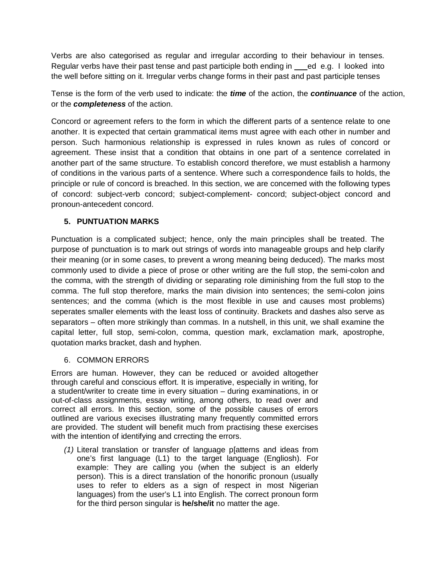Verbs are also categorised as regular and irregular according to their behaviour in tenses. Regular verbs have their past tense and past participle both ending in ed e.g. I looked into the well before sitting on it. Irregular verbs change forms in their past and past participle tenses

Tense is the form of the verb used to indicate: the *time* of the action, the *continuance* of the action, or the *completeness* of the action.

Concord or agreement refers to the form in which the different parts of a sentence relate to one another. It is expected that certain grammatical items must agree with each other in number and person. Such harmonious relationship is expressed in rules known as rules of concord or agreement. These insist that a condition that obtains in one part of a sentence correlated in another part of the same structure. To establish concord therefore, we must establish a harmony of conditions in the various parts of a sentence. Where such a correspondence fails to holds, the principle or rule of concord is breached. In this section, we are concerned with the following types of concord: subject-verb concord; subject-complement- concord; subject-object concord and pronoun-antecedent concord.

# **5. PUNTUATION MARKS**

Punctuation is a complicated subject; hence, only the main principles shall be treated. The purpose of punctuation is to mark out strings of words into manageable groups and help clarify their meaning (or in some cases, to prevent a wrong meaning being deduced). The marks most commonly used to divide a piece of prose or other writing are the full stop, the semi-colon and the comma, with the strength of dividing or separating role diminishing from the full stop to the comma. The full stop therefore, marks the main division into sentences; the semi-colon joins sentences; and the comma (which is the most flexible in use and causes most problems) seperates smaller elements with the least loss of continuity. Brackets and dashes also serve as separators – often more strikingly than commas. In a nutshell, in this unit, we shall examine the capital letter, full stop, semi-colon, comma, question mark, exclamation mark, apostrophe, quotation marks bracket, dash and hyphen.

# 6. COMMON ERRORS

Errors are human. However, they can be reduced or avoided altogether through careful and conscious effort. It is imperative, especially in writing, for a student/writer to create time in every situation – during examinations, in or out-of-class assignments, essay writing, among others, to read over and correct all errors. In this section, some of the possible causes of errors outlined are various execises illustrating many frequently committed errors are provided. The student will benefit much from practising these exercises with the intention of identifying and crrecting the errors.

*(1)* Literal translation or transfer of language p[atterns and ideas from one's first language (L1) to the target language (Engliosh). For example: They are calling you (when the subject is an elderly person). This is a direct translation of the honorific pronoun (usually uses to refer to elders as a sign of respect in most Nigerian languages) from the user's L1 into English. The correct pronoun form for the third person singular is **he/she/it** no matter the age.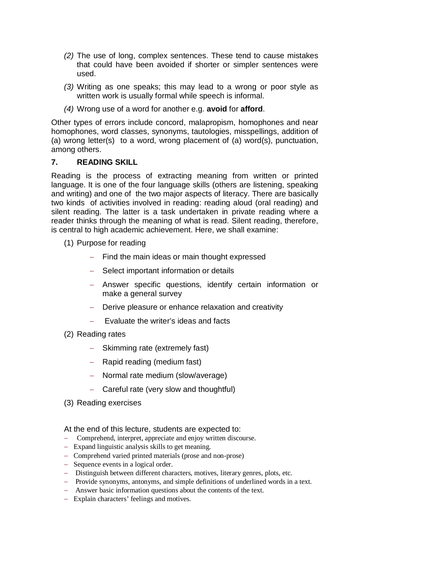- *(2)* The use of long, complex sentences. These tend to cause mistakes that could have been avoided if shorter or simpler sentences were used.
- *(3)* Writing as one speaks; this may lead to a wrong or poor style as written work is usually formal while speech is informal.
- *(4)* Wrong use of a word for another e.g. **avoid** for **afford**.

Other types of errors include concord, malapropism, homophones and near homophones, word classes, synonyms, tautologies, misspellings, addition of (a) wrong letter(s) to a word, wrong placement of (a) word(s), punctuation, among others.

### **7. READING SKILL**

Reading is the process of extracting meaning from written or printed language. It is one of the four language skills (others are listening, speaking and writing) and one of the two major aspects of literacy. There are basically two kinds of activities involved in reading: reading aloud (oral reading) and silent reading. The latter is a task undertaken in private reading where a reader thinks through the meaning of what is read. Silent reading, therefore, is central to high academic achievement. Here, we shall examine:

- (1) Purpose for reading
	- $-$  Find the main ideas or main thought expressed
	- Select important information or details
	- Answer specific questions, identify certain information or make a general survey
	- Derive pleasure or enhance relaxation and creativity
	- $-$  Evaluate the writer's ideas and facts
- (2) Reading rates
	- Skimming rate (extremely fast)
	- $-$  Rapid reading (medium fast)
	- Normal rate medium (slow/average)
	- Careful rate (very slow and thoughtful)
- (3) Reading exercises

At the end of this lecture, students are expected to:

- Comprehend, interpret, appreciate and enjoy written discourse.
- Expand linguistic analysis skills to get meaning.
- Comprehend varied printed materials (prose and non-prose)
- Sequence events in a logical order.
- Distinguish between different characters, motives, literary genres, plots, etc.
- Provide synonyms, antonyms, and simple definitions of underlined words in a text.
- Answer basic information questions about the contents of the text.
- Explain characters' feelings and motives.